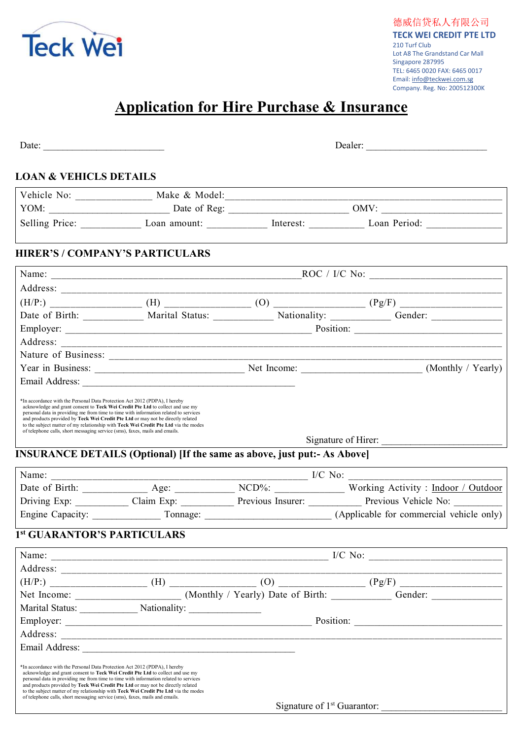

## Application for Hire Purchase & Insurance

| Date: $\frac{1}{\sqrt{1-\frac{1}{2}} \cdot \frac{1}{2} \cdot \frac{1}{2} \cdot \frac{1}{2} \cdot \frac{1}{2} \cdot \frac{1}{2} \cdot \frac{1}{2} \cdot \frac{1}{2} \cdot \frac{1}{2} \cdot \frac{1}{2} \cdot \frac{1}{2} \cdot \frac{1}{2} \cdot \frac{1}{2} \cdot \frac{1}{2} \cdot \frac{1}{2} \cdot \frac{1}{2} \cdot \frac{1}{2} \cdot \frac{1}{2} \cdot \frac{1}{2} \cdot \frac{1}{2} \cdot \frac{1}{2} \cdot \frac{1}{2} \cdot \frac{1}{2}$ |                                                                                                                                                                             | Dealer: |                                                                                                           |  |
|---------------------------------------------------------------------------------------------------------------------------------------------------------------------------------------------------------------------------------------------------------------------------------------------------------------------------------------------------------------------------------------------------------------------------------------------------|-----------------------------------------------------------------------------------------------------------------------------------------------------------------------------|---------|-----------------------------------------------------------------------------------------------------------|--|
| <b>LOAN &amp; VEHICLS DETAILS</b>                                                                                                                                                                                                                                                                                                                                                                                                                 |                                                                                                                                                                             |         |                                                                                                           |  |
|                                                                                                                                                                                                                                                                                                                                                                                                                                                   |                                                                                                                                                                             |         |                                                                                                           |  |
|                                                                                                                                                                                                                                                                                                                                                                                                                                                   |                                                                                                                                                                             |         |                                                                                                           |  |
|                                                                                                                                                                                                                                                                                                                                                                                                                                                   |                                                                                                                                                                             |         |                                                                                                           |  |
|                                                                                                                                                                                                                                                                                                                                                                                                                                                   | <b>HIRER'S / COMPANY'S PARTICULARS</b>                                                                                                                                      |         |                                                                                                           |  |
|                                                                                                                                                                                                                                                                                                                                                                                                                                                   |                                                                                                                                                                             |         |                                                                                                           |  |
|                                                                                                                                                                                                                                                                                                                                                                                                                                                   |                                                                                                                                                                             |         |                                                                                                           |  |
|                                                                                                                                                                                                                                                                                                                                                                                                                                                   |                                                                                                                                                                             |         |                                                                                                           |  |
|                                                                                                                                                                                                                                                                                                                                                                                                                                                   |                                                                                                                                                                             |         | Date of Birth: _____________ Marital Status: ____________ Nationality: __________ Gender: _______________ |  |
|                                                                                                                                                                                                                                                                                                                                                                                                                                                   |                                                                                                                                                                             |         |                                                                                                           |  |
|                                                                                                                                                                                                                                                                                                                                                                                                                                                   |                                                                                                                                                                             |         |                                                                                                           |  |
|                                                                                                                                                                                                                                                                                                                                                                                                                                                   |                                                                                                                                                                             |         |                                                                                                           |  |
|                                                                                                                                                                                                                                                                                                                                                                                                                                                   |                                                                                                                                                                             |         |                                                                                                           |  |
|                                                                                                                                                                                                                                                                                                                                                                                                                                                   |                                                                                                                                                                             |         |                                                                                                           |  |
| personal data in providing me from time to time with information related to services<br>and products provided by Teck Wei Credit Pte Ltd or may not be directly related<br>of telephone calls, short messaging service (sms), faxes, mails and emails.                                                                                                                                                                                            | to the subject matter of my relationship with Teck Wei Credit Pte Ltd via the modes<br><b>INSURANCE DETAILS (Optional) [If the same as above, just put:- As Above]</b>      |         | Signature of Hirer:                                                                                       |  |
|                                                                                                                                                                                                                                                                                                                                                                                                                                                   |                                                                                                                                                                             |         |                                                                                                           |  |
|                                                                                                                                                                                                                                                                                                                                                                                                                                                   |                                                                                                                                                                             |         | Date of Birth: _____________ Age: ___________ NCD%: ____________ Working Activity : Indoor / Outdoor      |  |
|                                                                                                                                                                                                                                                                                                                                                                                                                                                   |                                                                                                                                                                             |         | Driving Exp: Claim Exp: Claim Exp: Previous Insurer: Previous Vehicle No: ______                          |  |
|                                                                                                                                                                                                                                                                                                                                                                                                                                                   |                                                                                                                                                                             |         |                                                                                                           |  |
|                                                                                                                                                                                                                                                                                                                                                                                                                                                   | <sup>1st</sup> GUARANTOR'S PARTICULARS                                                                                                                                      |         |                                                                                                           |  |
|                                                                                                                                                                                                                                                                                                                                                                                                                                                   |                                                                                                                                                                             |         |                                                                                                           |  |
|                                                                                                                                                                                                                                                                                                                                                                                                                                                   |                                                                                                                                                                             |         |                                                                                                           |  |
|                                                                                                                                                                                                                                                                                                                                                                                                                                                   |                                                                                                                                                                             |         | $(H/P.)$ (H/P:) (H) (H) (H) (D) (D) (Pg/F) (Pg/F)                                                         |  |
|                                                                                                                                                                                                                                                                                                                                                                                                                                                   |                                                                                                                                                                             |         | Gender:                                                                                                   |  |
|                                                                                                                                                                                                                                                                                                                                                                                                                                                   |                                                                                                                                                                             |         |                                                                                                           |  |
|                                                                                                                                                                                                                                                                                                                                                                                                                                                   |                                                                                                                                                                             |         |                                                                                                           |  |
| Address:                                                                                                                                                                                                                                                                                                                                                                                                                                          |                                                                                                                                                                             |         |                                                                                                           |  |
|                                                                                                                                                                                                                                                                                                                                                                                                                                                   |                                                                                                                                                                             |         |                                                                                                           |  |
| *In accordance with the Personal Data Protection Act 2012 (PDPA), I hereby<br>acknowledge and grant consent to Teck Wei Credit Pte Ltd to collect and use my<br>and products provided by Teck Wei Credit Pte Ltd or may not be directly related<br>of telephone calls, short messaging service (sms), faxes, mails and emails.                                                                                                                    | personal data in providing me from time to time with information related to services<br>to the subject matter of my relationship with Teck Wei Credit Pte Ltd via the modes |         |                                                                                                           |  |
|                                                                                                                                                                                                                                                                                                                                                                                                                                                   |                                                                                                                                                                             |         |                                                                                                           |  |